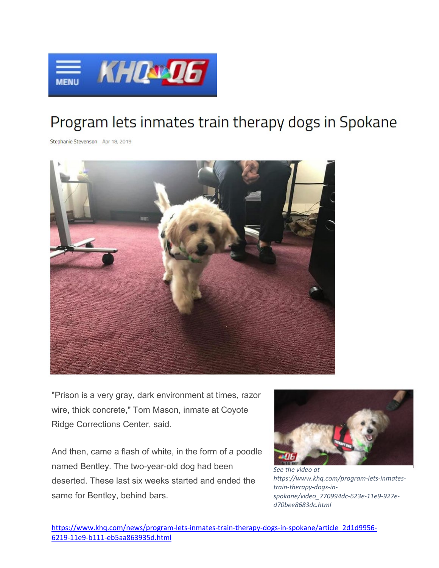

## Program lets inmates train therapy dogs in Spokane

Stephanie Stevenson Apr 18, 2019



"Prison is a very gray, dark environment at times, razor wire, thick concrete," Tom Mason, inmate at Coyote Ridge Corrections Center, said.

And then, came a flash of white, in the form of a poodle named Bentley. The two-year-old dog had been deserted. These last six weeks started and ended the same for Bentley, behind bars.



*[See the video at](https://www.khq.com/program-lets-inmates-train-therapy-dogs-in-spokane/video_770994dc-623e-11e9-927e-d70bee8683dc.html)  https://www.khq.com/program-lets-inmatestrain-therapy-dogs-inspokane/video\_770994dc-623e-11e9-927ed70bee8683dc.html*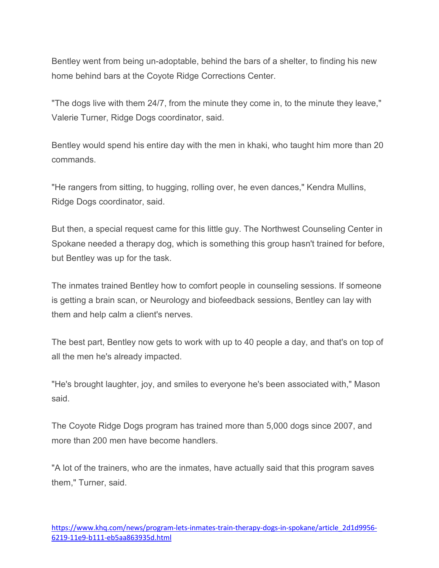Bentley went from being un-adoptable, behind the bars of a shelter, to finding his new home behind bars at the Coyote Ridge Corrections Center.

"The dogs live with them 24/7, from the minute they come in, to the minute they leave," Valerie Turner, Ridge Dogs coordinator, said.

Bentley would spend his entire day with the men in khaki, who taught him more than 20 commands.

"He rangers from sitting, to hugging, rolling over, he even dances," Kendra Mullins, Ridge Dogs coordinator, said.

But then, a special request came for this little guy. The Northwest Counseling Center in Spokane needed a therapy dog, which is something this group hasn't trained for before, but Bentley was up for the task.

The inmates trained Bentley how to comfort people in counseling sessions. If someone is getting a brain scan, or Neurology and biofeedback sessions, Bentley can lay with them and help calm a client's nerves.

The best part, Bentley now gets to work with up to 40 people a day, and that's on top of all the men he's already impacted.

"He's brought laughter, joy, and smiles to everyone he's been associated with," Mason said.

The Coyote Ridge Dogs program has trained more than 5,000 dogs since 2007, and more than 200 men have become handlers.

"A lot of the trainers, who are the inmates, have actually said that this program saves them," Turner, said.